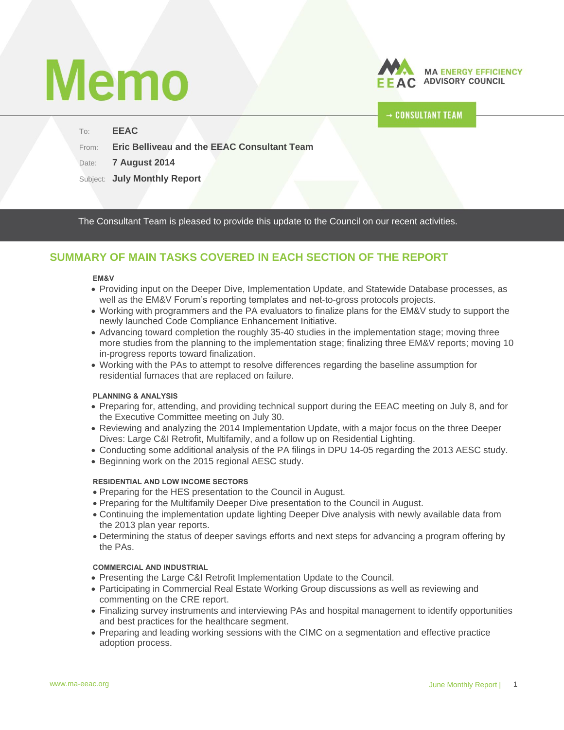# **Memo**



# **CONSULTANT TEAM**

#### To: **EEAC**

From: **Eric Belliveau and the EEAC Consultant Team**

Date: **7 August 2014**

Subject: **July Monthly Report**

The Consultant Team is pleased to provide this update to the Council on our recent activities.

# **SUMMARY OF MAIN TASKS COVERED IN EACH SECTION OF THE REPORT**

#### **EM&V**

- Providing input on the Deeper Dive, Implementation Update, and Statewide Database processes, as well as the EM&V Forum's reporting templates and net-to-gross protocols projects.
- Working with programmers and the PA evaluators to finalize plans for the EM&V study to support the newly launched Code Compliance Enhancement Initiative.
- Advancing toward completion the roughly 35-40 studies in the implementation stage; moving three more studies from the planning to the implementation stage; finalizing three EM&V reports; moving 10 in-progress reports toward finalization.
- Working with the PAs to attempt to resolve differences regarding the baseline assumption for residential furnaces that are replaced on failure.

#### **PLANNING & ANALYSIS**

- Preparing for, attending, and providing technical support during the EEAC meeting on July 8, and for the Executive Committee meeting on July 30.
- Reviewing and analyzing the 2014 Implementation Update, with a major focus on the three Deeper Dives: Large C&I Retrofit, Multifamily, and a follow up on Residential Lighting.
- Conducting some additional analysis of the PA filings in DPU 14-05 regarding the 2013 AESC study.
- Beginning work on the 2015 regional AESC study.

## **RESIDENTIAL AND LOW INCOME SECTORS**

- Preparing for the HES presentation to the Council in August.
- Preparing for the Multifamily Deeper Dive presentation to the Council in August.
- Continuing the implementation update lighting Deeper Dive analysis with newly available data from the 2013 plan year reports.
- Determining the status of deeper savings efforts and next steps for advancing a program offering by the PAs.

#### **COMMERCIAL AND INDUSTRIAL**

- Presenting the Large C&I Retrofit Implementation Update to the Council.
- Participating in Commercial Real Estate Working Group discussions as well as reviewing and commenting on the CRE report.
- Finalizing survey instruments and interviewing PAs and hospital management to identify opportunities and best practices for the healthcare segment.
- Preparing and leading working sessions with the CIMC on a segmentation and effective practice adoption process.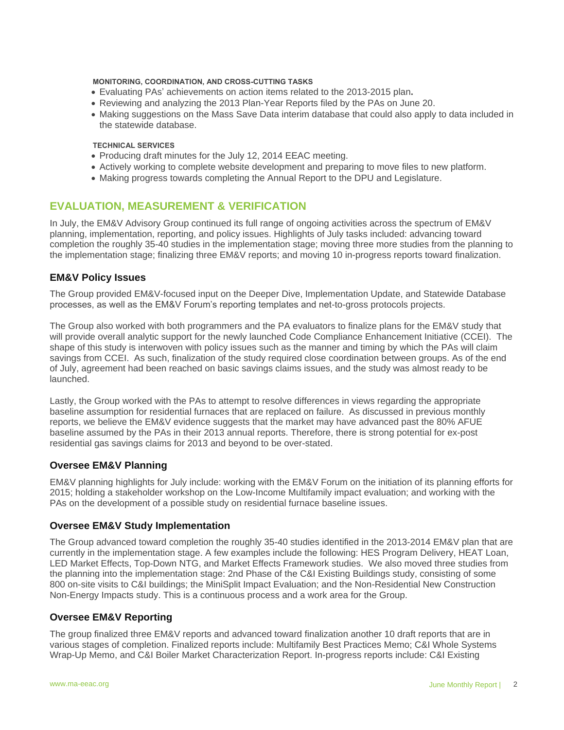#### **MONITORING, COORDINATION, AND CROSS-CUTTING TASKS**

- Evaluating PAs' achievements on action items related to the 2013-2015 plan**.**
- Reviewing and analyzing the 2013 Plan-Year Reports filed by the PAs on June 20.
- Making suggestions on the Mass Save Data interim database that could also apply to data included in the statewide database.

#### **TECHNICAL SERVICES**

- Producing draft minutes for the July 12, 2014 EEAC meeting.
- Actively working to complete website development and preparing to move files to new platform.
- Making progress towards completing the Annual Report to the DPU and Legislature.

# **EVALUATION, MEASUREMENT & VERIFICATION**

In July, the EM&V Advisory Group continued its full range of ongoing activities across the spectrum of EM&V planning, implementation, reporting, and policy issues. Highlights of July tasks included: advancing toward completion the roughly 35-40 studies in the implementation stage; moving three more studies from the planning to the implementation stage; finalizing three EM&V reports; and moving 10 in-progress reports toward finalization.

## **EM&V Policy Issues**

The Group provided EM&V-focused input on the Deeper Dive, Implementation Update, and Statewide Database processes, as well as the EM&V Forum's reporting templates and net-to-gross protocols projects.

The Group also worked with both programmers and the PA evaluators to finalize plans for the EM&V study that will provide overall analytic support for the newly launched Code Compliance Enhancement Initiative (CCEI). The shape of this study is interwoven with policy issues such as the manner and timing by which the PAs will claim savings from CCEI. As such, finalization of the study required close coordination between groups. As of the end of July, agreement had been reached on basic savings claims issues, and the study was almost ready to be launched.

Lastly, the Group worked with the PAs to attempt to resolve differences in views regarding the appropriate baseline assumption for residential furnaces that are replaced on failure. As discussed in previous monthly reports, we believe the EM&V evidence suggests that the market may have advanced past the 80% AFUE baseline assumed by the PAs in their 2013 annual reports. Therefore, there is strong potential for ex-post residential gas savings claims for 2013 and beyond to be over-stated.

## **Oversee EM&V Planning**

EM&V planning highlights for July include: working with the EM&V Forum on the initiation of its planning efforts for 2015; holding a stakeholder workshop on the Low-Income Multifamily impact evaluation; and working with the PAs on the development of a possible study on residential furnace baseline issues.

#### **Oversee EM&V Study Implementation**

The Group advanced toward completion the roughly 35-40 studies identified in the 2013-2014 EM&V plan that are currently in the implementation stage. A few examples include the following: HES Program Delivery, HEAT Loan, LED Market Effects, Top-Down NTG, and Market Effects Framework studies. We also moved three studies from the planning into the implementation stage: 2nd Phase of the C&I Existing Buildings study, consisting of some 800 on-site visits to C&I buildings; the MiniSplit Impact Evaluation; and the Non-Residential New Construction Non-Energy Impacts study. This is a continuous process and a work area for the Group.

#### **Oversee EM&V Reporting**

The group finalized three EM&V reports and advanced toward finalization another 10 draft reports that are in various stages of completion. Finalized reports include: Multifamily Best Practices Memo; C&I Whole Systems Wrap-Up Memo, and C&I Boiler Market Characterization Report. In-progress reports include: C&I Existing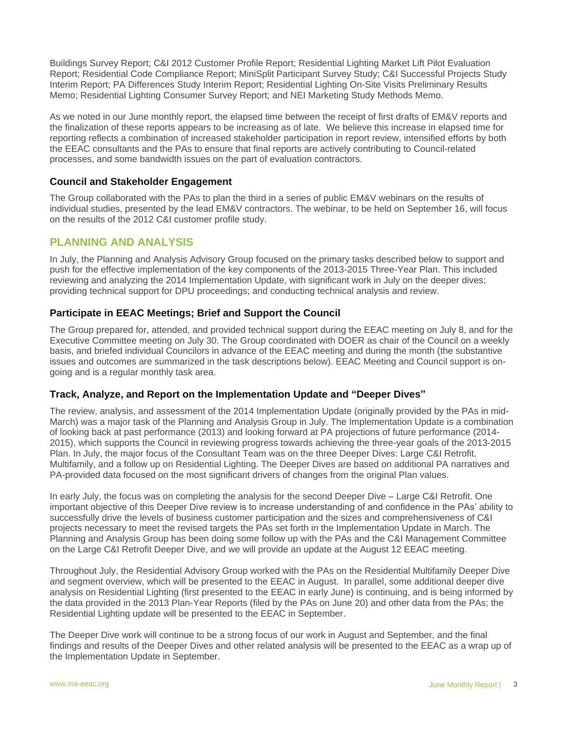Buildings Survey Report; C&I 2012 Customer Profile Report; Residential Lighting Market Lift Pilot Evaluation Report; Residential Code Compliance Report; MiniSplit Participant Survey Study; C&I Successful Projects Study Interim Report; PA Differences Study Interim Report; Residential Lighting On-Site Visits Preliminary Results Memo; Residential Lighting Consumer Survey Report; and NEI Marketing Study Methods Memo.

As we noted in our June monthly report, the elapsed time between the receipt of first drafts of EM&V reports and the finalization of these reports appears to be increasing as of late. We believe this increase in elapsed time for reporting reflects a combination of increased stakeholder participation in report review, intensified efforts by both the EEAC consultants and the PAs to ensure that final reports are actively contributing to Council-related processes, and some bandwidth issues on the part of evaluation contractors.

## **Council and Stakeholder Engagement**

The Group collaborated with the PAs to plan the third in a series of public EM&V webinars on the results of individual studies, presented by the lead EM&V contractors. The webinar, to be held on September 16, will focus on the results of the 2012 C&I customer profile study.

# **PLANNING AND ANALYSIS**

In July, the Planning and Analysis Advisory Group focused on the primary tasks described below to support and push for the effective implementation of the key components of the 2013-2015 Three-Year Plan. This included reviewing and analyzing the 2014 Implementation Update, with significant work in July on the deeper dives; providing technical support for DPU proceedings; and conducting technical analysis and review.

# **Participate in EEAC Meetings; Brief and Support the Council**

The Group prepared for, attended, and provided technical support during the EEAC meeting on July 8, and for the Executive Committee meeting on July 30. The Group coordinated with DOER as chair of the Council on a weekly basis, and briefed individual Councilors in advance of the EEAC meeting and during the month (the substantive issues and outcomes are summarized in the task descriptions below). EEAC Meeting and Council support is ongoing and is a regular monthly task area.

## **Track, Analyze, and Report on the Implementation Update and "Deeper Dives"**

The review, analysis, and assessment of the 2014 Implementation Update (originally provided by the PAs in mid-March) was a major task of the Planning and Analysis Group in July. The Implementation Update is a combination of looking back at past performance (2013) and looking forward at PA projections of future performance (2014- 2015), which supports the Council in reviewing progress towards achieving the three-year goals of the 2013-2015 Plan. In July, the major focus of the Consultant Team was on the three Deeper Dives: Large C&I Retrofit, Multifamily, and a follow up on Residential Lighting. The Deeper Dives are based on additional PA narratives and PA-provided data focused on the most significant drivers of changes from the original Plan values.

In early July, the focus was on completing the analysis for the second Deeper Dive – Large C&I Retrofit. One important objective of this Deeper Dive review is to increase understanding of and confidence in the PAs' ability to successfully drive the levels of business customer participation and the sizes and comprehensiveness of C&I projects necessary to meet the revised targets the PAs set forth in the Implementation Update in March. The Planning and Analysis Group has been doing some follow up with the PAs and the C&I Management Committee on the Large C&I Retrofit Deeper Dive, and we will provide an update at the August 12 EEAC meeting.

Throughout July, the Residential Advisory Group worked with the PAs on the Residential Multifamily Deeper Dive and segment overview, which will be presented to the EEAC in August. In parallel, some additional deeper dive analysis on Residential Lighting (first presented to the EEAC in early June) is continuing, and is being informed by the data provided in the 2013 Plan-Year Reports (filed by the PAs on June 20) and other data from the PAs; the Residential Lighting update will be presented to the EEAC in September.

The Deeper Dive work will continue to be a strong focus of our work in August and September, and the final findings and results of the Deeper Dives and other related analysis will be presented to the EEAC as a wrap up of the Implementation Update in September.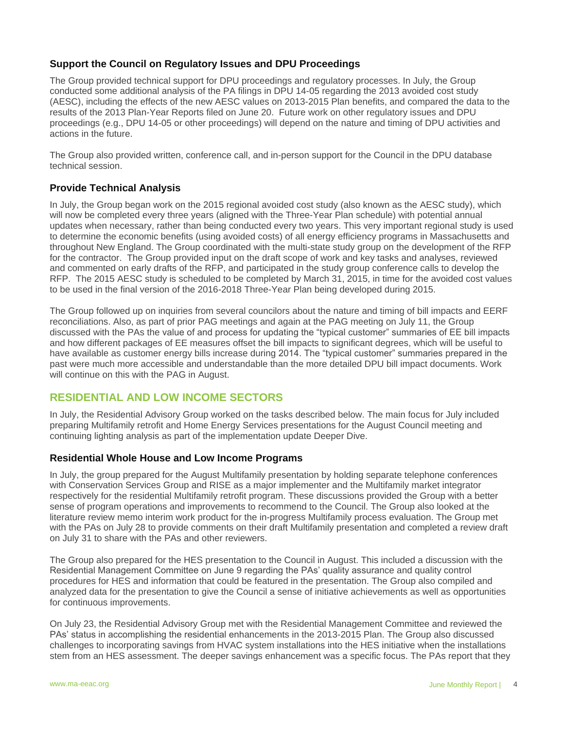# **Support the Council on Regulatory Issues and DPU Proceedings**

The Group provided technical support for DPU proceedings and regulatory processes. In July, the Group conducted some additional analysis of the PA filings in DPU 14-05 regarding the 2013 avoided cost study (AESC), including the effects of the new AESC values on 2013-2015 Plan benefits, and compared the data to the results of the 2013 Plan-Year Reports filed on June 20. Future work on other regulatory issues and DPU proceedings (e.g., DPU 14-05 or other proceedings) will depend on the nature and timing of DPU activities and actions in the future.

The Group also provided written, conference call, and in-person support for the Council in the DPU database technical session.

## **Provide Technical Analysis**

In July, the Group began work on the 2015 regional avoided cost study (also known as the AESC study), which will now be completed every three years (aligned with the Three-Year Plan schedule) with potential annual updates when necessary, rather than being conducted every two years. This very important regional study is used to determine the economic benefits (using avoided costs) of all energy efficiency programs in Massachusetts and throughout New England. The Group coordinated with the multi-state study group on the development of the RFP for the contractor. The Group provided input on the draft scope of work and key tasks and analyses, reviewed and commented on early drafts of the RFP, and participated in the study group conference calls to develop the RFP. The 2015 AESC study is scheduled to be completed by March 31, 2015, in time for the avoided cost values to be used in the final version of the 2016-2018 Three-Year Plan being developed during 2015.

The Group followed up on inquiries from several councilors about the nature and timing of bill impacts and EERF reconciliations. Also, as part of prior PAG meetings and again at the PAG meeting on July 11, the Group discussed with the PAs the value of and process for updating the "typical customer" summaries of EE bill impacts and how different packages of EE measures offset the bill impacts to significant degrees, which will be useful to have available as customer energy bills increase during 2014. The "typical customer" summaries prepared in the past were much more accessible and understandable than the more detailed DPU bill impact documents. Work will continue on this with the PAG in August.

# **RESIDENTIAL AND LOW INCOME SECTORS**

In July, the Residential Advisory Group worked on the tasks described below. The main focus for July included preparing Multifamily retrofit and Home Energy Services presentations for the August Council meeting and continuing lighting analysis as part of the implementation update Deeper Dive.

## **Residential Whole House and Low Income Programs**

In July, the group prepared for the August Multifamily presentation by holding separate telephone conferences with Conservation Services Group and RISE as a major implementer and the Multifamily market integrator respectively for the residential Multifamily retrofit program. These discussions provided the Group with a better sense of program operations and improvements to recommend to the Council. The Group also looked at the literature review memo interim work product for the in-progress Multifamily process evaluation. The Group met with the PAs on July 28 to provide comments on their draft Multifamily presentation and completed a review draft on July 31 to share with the PAs and other reviewers.

The Group also prepared for the HES presentation to the Council in August. This included a discussion with the Residential Management Committee on June 9 regarding the PAs' quality assurance and quality control procedures for HES and information that could be featured in the presentation. The Group also compiled and analyzed data for the presentation to give the Council a sense of initiative achievements as well as opportunities for continuous improvements.

On July 23, the Residential Advisory Group met with the Residential Management Committee and reviewed the PAs' status in accomplishing the residential enhancements in the 2013-2015 Plan. The Group also discussed challenges to incorporating savings from HVAC system installations into the HES initiative when the installations stem from an HES assessment. The deeper savings enhancement was a specific focus. The PAs report that they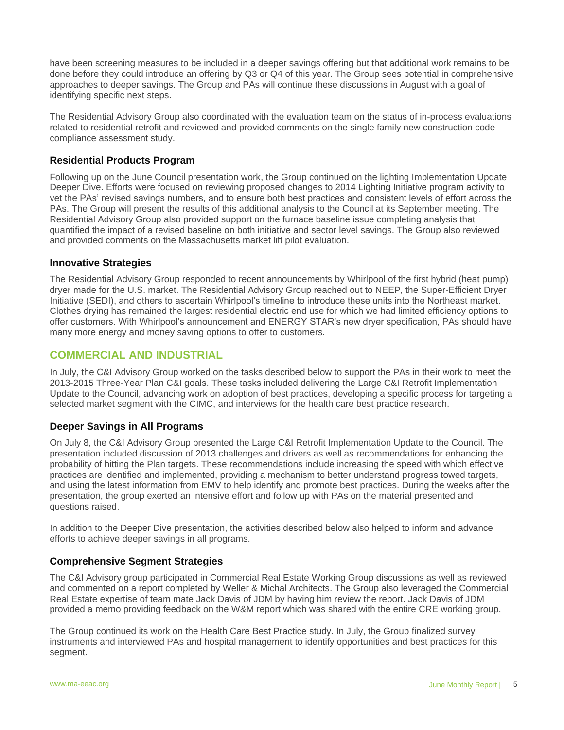have been screening measures to be included in a deeper savings offering but that additional work remains to be done before they could introduce an offering by Q3 or Q4 of this year. The Group sees potential in comprehensive approaches to deeper savings. The Group and PAs will continue these discussions in August with a goal of identifying specific next steps.

The Residential Advisory Group also coordinated with the evaluation team on the status of in-process evaluations related to residential retrofit and reviewed and provided comments on the single family new construction code compliance assessment study.

# **Residential Products Program**

Following up on the June Council presentation work, the Group continued on the lighting Implementation Update Deeper Dive. Efforts were focused on reviewing proposed changes to 2014 Lighting Initiative program activity to vet the PAs' revised savings numbers, and to ensure both best practices and consistent levels of effort across the PAs. The Group will present the results of this additional analysis to the Council at its September meeting. The Residential Advisory Group also provided support on the furnace baseline issue completing analysis that quantified the impact of a revised baseline on both initiative and sector level savings. The Group also reviewed and provided comments on the Massachusetts market lift pilot evaluation.

## **Innovative Strategies**

The Residential Advisory Group responded to recent announcements by Whirlpool of the first hybrid (heat pump) dryer made for the U.S. market. The Residential Advisory Group reached out to NEEP, the Super-Efficient Dryer Initiative (SEDI), and others to ascertain Whirlpool's timeline to introduce these units into the Northeast market. Clothes drying has remained the largest residential electric end use for which we had limited efficiency options to offer customers. With Whirlpool's announcement and ENERGY STAR's new dryer specification, PAs should have many more energy and money saving options to offer to customers.

# **COMMERCIAL AND INDUSTRIAL**

In July, the C&I Advisory Group worked on the tasks described below to support the PAs in their work to meet the 2013-2015 Three-Year Plan C&I goals. These tasks included delivering the Large C&I Retrofit Implementation Update to the Council, advancing work on adoption of best practices, developing a specific process for targeting a selected market segment with the CIMC, and interviews for the health care best practice research.

## **Deeper Savings in All Programs**

On July 8, the C&I Advisory Group presented the Large C&I Retrofit Implementation Update to the Council. The presentation included discussion of 2013 challenges and drivers as well as recommendations for enhancing the probability of hitting the Plan targets. These recommendations include increasing the speed with which effective practices are identified and implemented, providing a mechanism to better understand progress towed targets, and using the latest information from EMV to help identify and promote best practices. During the weeks after the presentation, the group exerted an intensive effort and follow up with PAs on the material presented and questions raised.

In addition to the Deeper Dive presentation, the activities described below also helped to inform and advance efforts to achieve deeper savings in all programs.

## **Comprehensive Segment Strategies**

The C&I Advisory group participated in Commercial Real Estate Working Group discussions as well as reviewed and commented on a report completed by Weller & Michal Architects. The Group also leveraged the Commercial Real Estate expertise of team mate Jack Davis of JDM by having him review the report. Jack Davis of JDM provided a memo providing feedback on the W&M report which was shared with the entire CRE working group.

The Group continued its work on the Health Care Best Practice study. In July, the Group finalized survey instruments and interviewed PAs and hospital management to identify opportunities and best practices for this segment.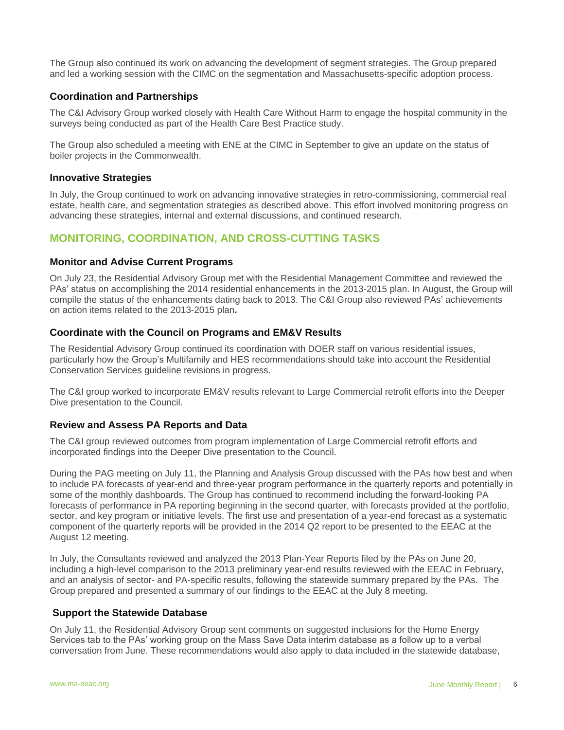The Group also continued its work on advancing the development of segment strategies. The Group prepared and led a working session with the CIMC on the segmentation and Massachusetts-specific adoption process.

## **Coordination and Partnerships**

The C&I Advisory Group worked closely with Health Care Without Harm to engage the hospital community in the surveys being conducted as part of the Health Care Best Practice study.

The Group also scheduled a meeting with ENE at the CIMC in September to give an update on the status of boiler projects in the Commonwealth.

#### **Innovative Strategies**

In July, the Group continued to work on advancing innovative strategies in retro-commissioning, commercial real estate, health care, and segmentation strategies as described above. This effort involved monitoring progress on advancing these strategies, internal and external discussions, and continued research.

# **MONITORING, COORDINATION, AND CROSS-CUTTING TASKS**

## **Monitor and Advise Current Programs**

On July 23, the Residential Advisory Group met with the Residential Management Committee and reviewed the PAs' status on accomplishing the 2014 residential enhancements in the 2013-2015 plan. In August, the Group will compile the status of the enhancements dating back to 2013. The C&I Group also reviewed PAs' achievements on action items related to the 2013-2015 plan**.** 

## **Coordinate with the Council on Programs and EM&V Results**

The Residential Advisory Group continued its coordination with DOER staff on various residential issues, particularly how the Group's Multifamily and HES recommendations should take into account the Residential Conservation Services guideline revisions in progress.

The C&I group worked to incorporate EM&V results relevant to Large Commercial retrofit efforts into the Deeper Dive presentation to the Council.

## **Review and Assess PA Reports and Data**

The C&I group reviewed outcomes from program implementation of Large Commercial retrofit efforts and incorporated findings into the Deeper Dive presentation to the Council.

During the PAG meeting on July 11, the Planning and Analysis Group discussed with the PAs how best and when to include PA forecasts of year-end and three-year program performance in the quarterly reports and potentially in some of the monthly dashboards. The Group has continued to recommend including the forward-looking PA forecasts of performance in PA reporting beginning in the second quarter, with forecasts provided at the portfolio, sector, and key program or initiative levels. The first use and presentation of a year-end forecast as a systematic component of the quarterly reports will be provided in the 2014 Q2 report to be presented to the EEAC at the August 12 meeting.

In July, the Consultants reviewed and analyzed the 2013 Plan-Year Reports filed by the PAs on June 20, including a high-level comparison to the 2013 preliminary year-end results reviewed with the EEAC in February, and an analysis of sector- and PA-specific results, following the statewide summary prepared by the PAs. The Group prepared and presented a summary of our findings to the EEAC at the July 8 meeting.

#### **Support the Statewide Database**

On July 11, the Residential Advisory Group sent comments on suggested inclusions for the Home Energy Services tab to the PAs' working group on the Mass Save Data interim database as a follow up to a verbal conversation from June. These recommendations would also apply to data included in the statewide database,